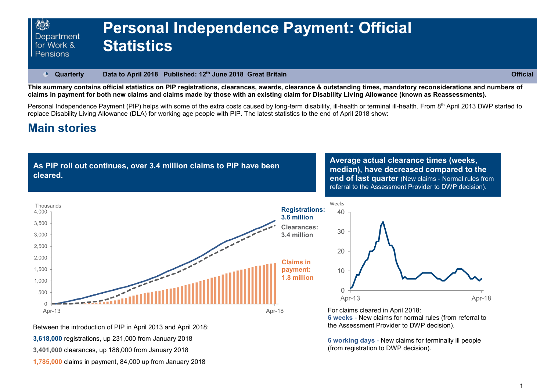#### **Quarterly Data to April 2018 Published: 12th June 2018 Great Britain Official**   $\bullet$

**This summary contains official statistics on PIP registrations, clearances, awards, clearance & outstanding times, mandatory reconsiderations and numbers of claims in payment for both new claims and claims made by those with an existing claim for Disability Living Allowance (known as Reassessments).**

Personal Independence Payment (PIP) helps with some of the extra costs caused by long-term disability, ill-health or terminal ill-health. From 8th April 2013 DWP started to replace Disability Living Allowance (DLA) for working age people with PIP. The latest statistics to the end of April 2018 show:

# **Main stories**

**As PIP roll out continues, over 3.4 million claims to PIP have been cleared.**

**Average actual clearance times (weeks, median), have decreased compared to the end of last quarter** (New claims - Normal rules from referral to the Assessment Provider to DWP decision).



Between the introduction of PIP in April 2013 and April 2018:

**3,618,000** registrations, up 231,000 from January 2018

**3,401,000** clearances, up 186,000 from January 2018

**1,785,000** claims in payment, 84,000 up from January 2018

**6 weeks** - New claims for normal rules (from referral to the Assessment Provider to DWP decision).

**6 working days** - New claims for terminally ill people (from registration to DWP decision).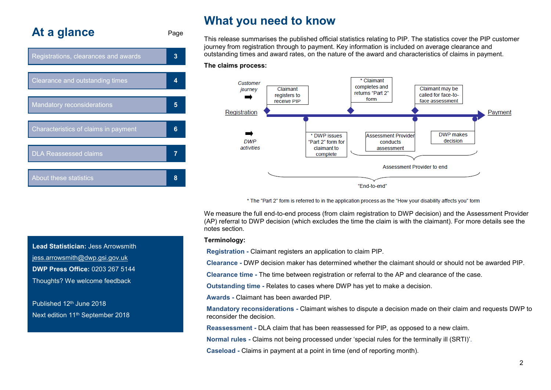# **At a glance** Page



# **What you need to know**

This release summarises the published official statistics relating to PIP. The statistics cover the PIP customer journey from registration through to payment. Key information is included on average clearance and outstanding times and award rates, on the nature of the award and characteristics of claims in payment.

#### **The claims process:**



\* The "Part 2" form is referred to in the application process as the "How your disability affects you" form

We measure the full end-to-end process (from claim registration to DWP decision) and the Assessment Provider (AP) referral to DWP decision (which excludes the time the claim is with the claimant). For more details see the notes section.

#### **Terminology:**

**Registration -** Claimant registers an application to claim PIP.

**Clearance -** DWP decision maker has determined whether the claimant should or should not be awarded PIP.

**Clearance time -** The time between registration or referral to the AP and clearance of the case.

**Outstanding time -** Relates to cases where DWP has yet to make a decision.

**Awards -** Claimant has been awarded PIP.

**Mandatory reconsiderations -** Claimant wishes to dispute a decision made on their claim and requests DWP to reconsider the decision.

**Reassessment -** DLA claim that has been reassessed for PIP, as opposed to a new claim.

**Normal rules -** Claims not being processed under 'special rules for the terminally ill (SRTI)'.

**Caseload -** Claims in payment at a point in time (end of reporting month).

**Lead Statistician:** Jess Arrowsmith jess.arrowsmith@dwp.gsi.gov.uk **DWP Press Office:** 0203 267 5144 Thoughts? We welcome feedback

Published 12th June 2018 Next edition 11<sup>th</sup> September 2018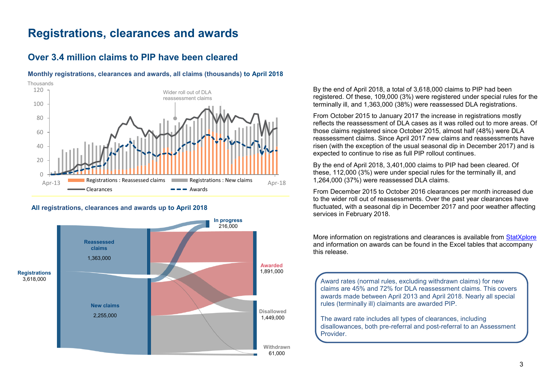# **Registrations, clearances and awards**

## <span id="page-2-0"></span>**Over 3.4 million claims to PIP have been cleared**



## **Monthly registrations, clearances and awards, all claims (thousands) to April 2018**

#### **All registrations, clearances and awards up to April 2018**



By the end of April 2018, a total of 3,618,000 claims to PIP had been registered. Of these, 109,000 (3%) were registered under special rules for the terminally ill, and 1,363,000 (38%) were reassessed DLA registrations.

From October 2015 to January 2017 the increase in registrations mostly reflects the reassessment of DLA cases as it was rolled out to more areas. Of those claims registered since October 2015, almost half (48%) were DLA reassessment claims. Since April 2017 new claims and reassessments have risen (with the exception of the usual seasonal dip in December 2017) and is expected to continue to rise as full PIP rollout continues.

By the end of April 2018, 3,401,000 claims to PIP had been cleared. Of these, 112,000 (3%) were under special rules for the terminally ill, and 1,264,000 (37%) were reassessed DLA claims.

From December 2015 to October 2016 clearances per month increased due to the wider roll out of reassessments. Over the past year clearances have fluctuated, with a seasonal dip in December 2017 and poor weather affecting services in February 2018.

More information on registrations and clearances is available from [StatXplore](https://www.gov.uk/government/organisations/department-for-work-pensions/about/statistics#stat-xplore) and information on awards can be found in the Excel tables that accompany this release.

Award rates (normal rules, excluding withdrawn claims) for new claims are 45% and 72% for DLA reassessment claims. This covers awards made between April 2013 and April 2018. Nearly all special rules (terminally ill) claimants are awarded PIP.

The award rate includes all types of clearances, including disallowances, both pre-referral and post-referral to an Assessment Provider.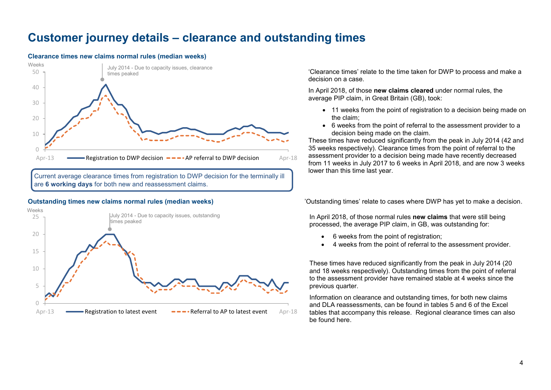# **Customer journey details – clearance and outstanding times**

#### **Clearance times new claims normal rules (median weeks)**



Current average clearance times from registration to DWP decision for the terminally ill are **6 working days** for both new and reassessment claims.



'Clearance times' relate to the time taken for DWP to process and make a decision on a case.

In April 2018, of those **new claims cleared** under normal rules, the average PIP claim, in Great Britain (GB), took:

- 11 weeks from the point of registration to a decision being made on the claim;
- 6 weeks from the point of referral to the assessment provider to a decision being made on the claim.

These times have reduced significantly from the peak in July 2014 (42 and 35 weeks respectively). Clearance times from the point of referral to the assessment provider to a decision being made have recently decreased from 11 weeks in July 2017 to 6 weeks in April 2018, and are now 3 weeks lower than this time last year.

**Outstanding times new claims normal rules (median weeks)** 'Outstanding times' relate to cases where DWP has yet to make a decision.

In April 2018, of those normal rules **new claims** that were still being processed, the average PIP claim, in GB, was outstanding for:

- 6 weeks from the point of registration;
- 4 weeks from the point of referral to the assessment provider.

These times have reduced significantly from the peak in July 2014 (20 and 18 weeks respectively). Outstanding times from the point of referral to the assessment provider have remained stable at 4 weeks since the previous quarter.

Information on clearance and outstanding times, for both new claims and DLA reassessments, can be found in tables 5 and 6 of the Excel tables that accompany this release. Regional clearance times can also be found here.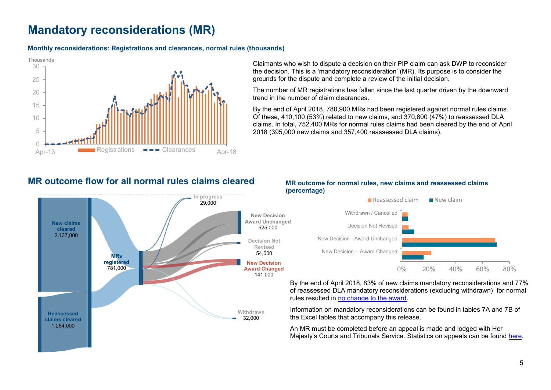# **Mandatory reconsiderations (MR)**

## **Monthly reconsiderations: Registrations and clearances, normal rules (thousands)**



Claimants who wish to dispute a decision on their PIP claim can ask DWP to reconsider the decision. This is a 'mandatory reconsideration' (MR). Its purpose is to consider the grounds for the dispute and complete a review of the initial decision.

The number of MR registrations has fallen since the last quarter driven by the downward trend in the number of claim clearances.

By the end of April 2018, 780,900 MRs had been registered against normal rules claims. Of these, 410,100 (53%) related to new claims, and  $370,800$  ( $47\%$ ) to reassessed DLA claims. In total, 752,400 MRs for normal rules claims had been cleared by the end of April 2018 (395,000 new claims and 357,400 reassessed DLA claims).

# **MR outcome flow for all normal rules claims cleared**



## **MR outcome for normal rules, new claims and reassessed claims (percentage)**



By the end of April 2018, 83% of new claims mandatory reconsiderations and 77% of reassessed DLA mandatory reconsiderations (excluding withdrawn) for normal rules resulted in [no change to the award.](#page-8-0)

Information on mandatory reconsiderations can be found in tables 7A and 7B of the Excel tables that accompany this release.

An MR must be completed before an appeal is made and lodged with Her Majesty's Courts and Tribunals Service. Statistics on appeals can be found [here.](https://www.gov.uk/government/organisations/ministry-ofjustice/series/tribunals-statistics)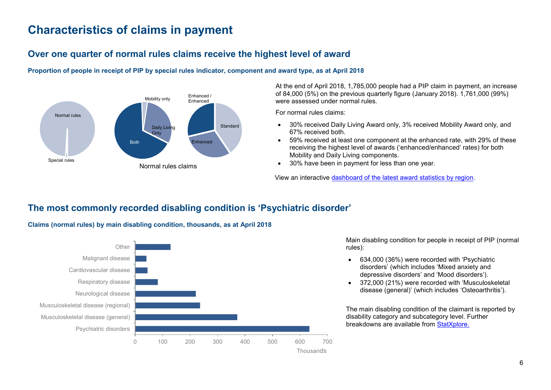# **Characteristics of claims in payment**

# **Over one quarter of normal rules claims receive the highest level of award**

**Proportion of people in receipt of PIP by special rules indicator, component and award type, as at April 2018** 



At the end of April 2018, 1,785,000 people had a PIP claim in payment, an increase of 84,000 (5%) on the previous quarterly figure (January 2018). 1,761,000 (99%) were assessed under normal rules.

For normal rules claims:

- 30% received Daily Living Award only, 3% received Mobility Award only, and 67% received both.
- 59% received at least one component at the enhanced rate, with 29% of these receiving the highest level of awards ('enhanced/enhanced' rates) for both Mobility and Daily Living components.
- 30% have been in payment for less than one year.

View an interactive [dashboard of the latest award statistics by region.](https://pipdash.herokuapp.com/)

# <span id="page-5-0"></span>**The most commonly recorded disabling condition is 'Psychiatric disorder'**



**Claims (normal rules) by main disabling condition, thousands, as at April 2018** 

Main disabling condition for people in receipt of PIP (normal rules):

- 634,000 (36%) were recorded with 'Psychiatric disorders' (which includes 'Mixed anxiety and depressive disorders' and 'Mood disorders').
- 372,000 (21%) were recorded with 'Musculoskeletal disease (general)' (which includes 'Osteoarthritis').

The main disabling condition of the claimant is reported by disability category and subcategory level. Further breakdowns are available from [StatXplore.](https://www.gov.uk/government/organisations/department-for-work-pensions/about/statistics#stat-xplore)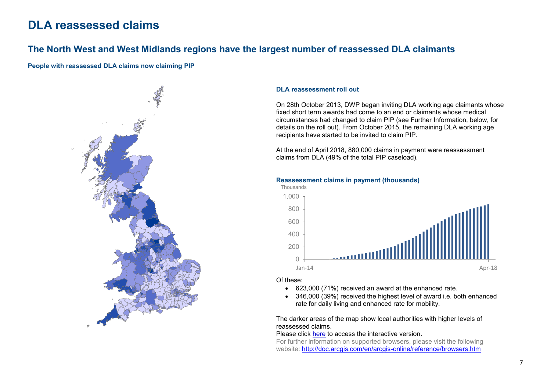# **DLA reassessed claims**

## <span id="page-6-0"></span>**The North West and West Midlands regions have the largest number of reassessed DLA claimants**

**People with reassessed DLA claims now claiming PIP** 



## **DLA reassessment roll out**

On 28th October 2013, DWP began inviting DLA working age claimants whose fixed short term awards had come to an end or claimants whose medical circumstances had changed to claim PIP (see Further Information, below, for details on the roll out). From October 2015, the remaining DLA working age recipients have started to be invited to claim PIP.

At the end of April 2018, 880,000 claims in payment were reassessment claims from DLA (49% of the total PIP caseload).

**Reassessment claims in payment (thousands)**



#### Of these:

- 623,000 (71%) received an award at the enhanced rate.
- 346,000 (39%) received the highest level of award i.e. both enhanced rate for daily living and enhanced rate for mobility.

The darker areas of the map show local authorities with higher levels of reassessed claims.

Please click [here](http://dwp-stats.maps.arcgis.com/apps/Viewer/index.html?appid=4f2f5d71f682401b9b78ee5c6ea7887e) to access the interactive version.

For further information on supported browsers, please visit the following website:<http://doc.arcgis.com/en/arcgis-online/reference/browsers.htm>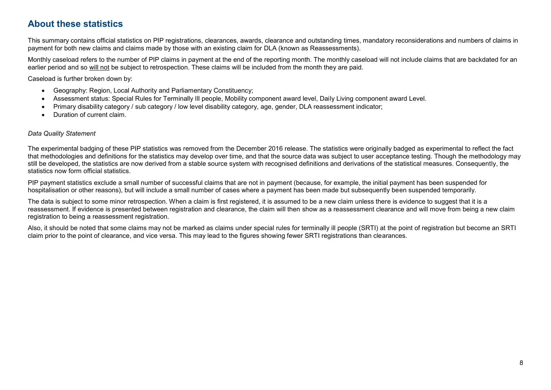# **About these statistics**

This summary contains official statistics on PIP registrations, clearances, awards, clearance and outstanding times, mandatory reconsiderations and numbers of claims in payment for both new claims and claims made by those with an existing claim for DLA (known as Reassessments).

Monthly caseload refers to the number of PIP claims in payment at the end of the reporting month. The monthly caseload will not include claims that are backdated for an earlier period and so will not be subject to retrospection. These claims will be included from the month they are paid.

Caseload is further broken down by:

- Geography: Region, Local Authority and Parliamentary Constituency;
- Assessment status: Special Rules for Terminally Ill people, Mobility component award level, Daily Living component award Level.
- Primary disability category / sub category / low level disability category, age, gender, DLA reassessment indicator;
- Duration of current claim.

## *Data Quality Statement*

The experimental badging of these PIP statistics was removed from the December 2016 release. The statistics were originally badged as experimental to reflect the fact that methodologies and definitions for the statistics may develop over time, and that the source data was subject to user acceptance testing. Though the methodology may still be developed, the statistics are now derived from a stable source system with recognised definitions and derivations of the statistical measures. Consequently, the statistics now form official statistics.

PIP payment statistics exclude a small number of successful claims that are not in payment (because, for example, the initial payment has been suspended for hospitalisation or other reasons), but will include a small number of cases where a payment has been made but subsequently been suspended temporarily.

The data is subject to some minor retrospection. When a claim is first registered, it is assumed to be a new claim unless there is evidence to suggest that it is a reassessment. If evidence is presented between registration and clearance, the claim will then show as a reassessment clearance and will move from being a new claim registration to being a reassessment registration.

Also, it should be noted that some claims may not be marked as claims under special rules for terminally ill people (SRTI) at the point of registration but become an SRTI claim prior to the point of clearance, and vice versa. This may lead to the figures showing fewer SRTI registrations than clearances.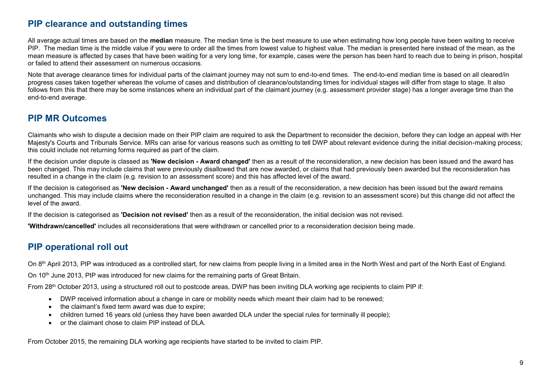## **PIP clearance and outstanding times**

All average actual times are based on the **median** measure. The median time is the best measure to use when estimating how long people have been waiting to receive PIP. The median time is the middle value if you were to order all the times from lowest value to highest value. The median is presented here instead of the mean, as the mean measure is affected by cases that have been waiting for a very long time, for example, cases were the person has been hard to reach due to being in prison, hospital or failed to attend their assessment on numerous occasions.

Note that average clearance times for individual parts of the claimant journey may not sum to end-to-end times. The end-to-end median time is based on all cleared/in progress cases taken together whereas the volume of cases and distribution of clearance/outstanding times for individual stages will differ from stage to stage. It also follows from this that there may be some instances where an individual part of the claimant journey (e.g. assessment provider stage) has a longer average time than the end-to-end average.

## <span id="page-8-0"></span>**PIP MR Outcomes**

Claimants who wish to dispute a decision made on their PIP claim are required to ask the Department to reconsider the decision, before they can lodge an appeal with Her Majesty's Courts and Tribunals Service. MRs can arise for various reasons such as omitting to tell DWP about relevant evidence during the initial decision-making process; this could include not returning forms required as part of the claim.

If the decision under dispute is classed as **'New decision - Award changed'** then as a result of the reconsideration, a new decision has been issued and the award has been changed. This may include claims that were previously disallowed that are now awarded, or claims that had previously been awarded but the reconsideration has resulted in a change in the claim (e.g. revision to an assessment score) and this has affected level of the award.

If the decision is categorised as **'New decision - Award unchanged'** then as a result of the reconsideration, a new decision has been issued but the award remains unchanged. This may include claims where the reconsideration resulted in a change in the claim (e.g. revision to an assessment score) but this change did not affect the level of the award.

If the decision is categorised as **'Decision not revised'** then as a result of the reconsideration, the initial decision was not revised.

**'Withdrawn/cancelled'** includes all reconsiderations that were withdrawn or cancelled prior to a reconsideration decision being made.

# **PIP operational roll out**

On 8<sup>th</sup> April 2013, PIP was introduced as a controlled start, for new claims from people living in a limited area in the North West and part of the North East of England.

On 10<sup>th</sup> June 2013, PIP was introduced for new claims for the remaining parts of Great Britain.

From 28<sup>th</sup> October 2013, using a structured roll out to postcode areas, DWP has been inviting DLA working age recipients to claim PIP if:

- DWP received information about a change in care or mobility needs which meant their claim had to be renewed;
- the claimant's fixed term award was due to expire;
- children turned 16 years old (unless they have been awarded DLA under the special rules for terminally ill people);
- or the claimant chose to claim PIP instead of DLA.

From October 2015, the remaining DLA working age recipients have started to be invited to claim PIP.